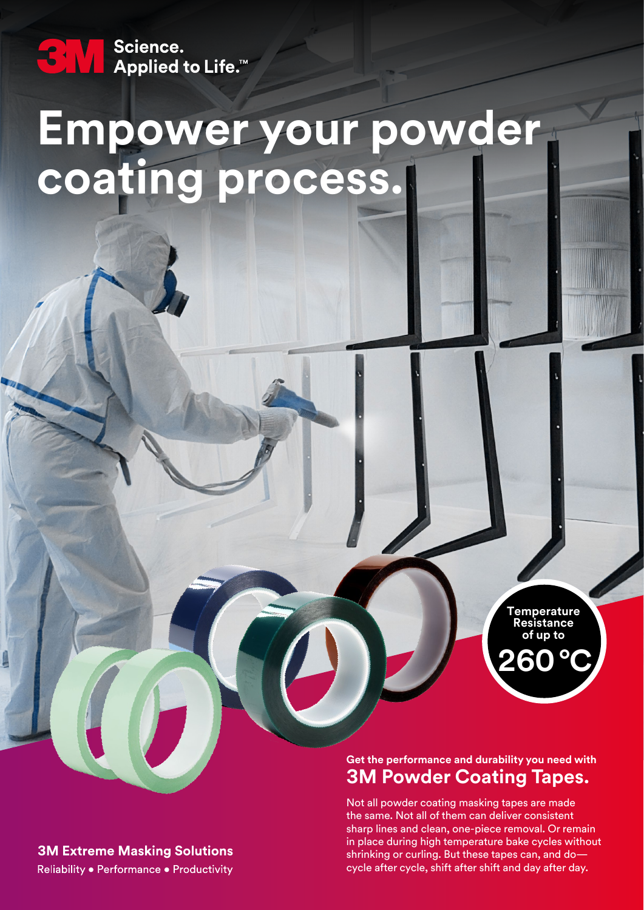Science.<br>■ Applied to Life.™

# **Empower your powder coating process.**

**260** °**C Temperature Resistance of up to**

### **Get the performance and durability you need with 3M Powder Coating Tapes.**

Not all powder coating masking tapes are made the same. Not all of them can deliver consistent sharp lines and clean, one-piece removal. Or remain in place during high temperature bake cycles without shrinking or curling. But these tapes can, and do cycle after cycle, shift after shift and day after day.

**3M Extreme Masking Solutions** 

Reliability . Performance . Productivity